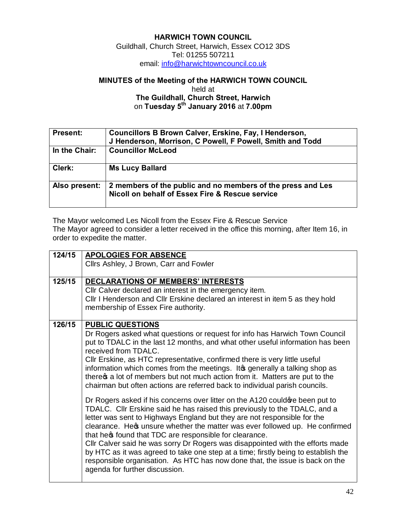## **HARWICH TOWN COUNCIL** Guildhall, Church Street, Harwich, Essex CO12 3DS

Tel: 01255 507211 em[ail: info@harwichtowncouncil.co.uk](mailto:info@harwichtowncouncil.co.uk)

## **MINUTES of the Meeting of the HARWICH TOWN COUNCIL**

held at **The Guildhall, Church Street, Harwich** on **Tuesday 5th January 2016** at **7.00pm**

| <b>Present:</b> | Councillors B Brown Calver, Erskine, Fay, I Henderson,<br>J Henderson, Morrison, C Powell, F Powell, Smith and Todd |
|-----------------|---------------------------------------------------------------------------------------------------------------------|
| In the Chair:   | <b>Councillor McLeod</b>                                                                                            |
| Clerk:          | <b>Ms Lucy Ballard</b>                                                                                              |
| Also present:   | 2 members of the public and no members of the press and Les<br>Nicoll on behalf of Essex Fire & Rescue service      |

The Mayor welcomed Les Nicoll from the Essex Fire & Rescue Service The Mayor agreed to consider a letter received in the office this morning, after Item 16, in order to expedite the matter.

| 124/15 | <b>APOLOGIES FOR ABSENCE</b>                                                       |
|--------|------------------------------------------------------------------------------------|
|        |                                                                                    |
|        | Cllrs Ashley, J Brown, Carr and Fowler                                             |
|        |                                                                                    |
| 125/15 | DECLARATIONS OF MEMBERS' INTERESTS                                                 |
|        | Cllr Calver declared an interest in the emergency item.                            |
|        | Cllr I Henderson and Cllr Erskine declared an interest in item 5 as they hold      |
|        | membership of Essex Fire authority.                                                |
|        |                                                                                    |
| 126/15 | <b>PUBLIC QUESTIONS</b>                                                            |
|        | Dr Rogers asked what questions or request for info has Harwich Town Council        |
|        | put to TDALC in the last 12 months, and what other useful information has been     |
|        | received from TDALC.                                                               |
|        |                                                                                    |
|        | CIIr Erskine, as HTC representative, confirmed there is very little useful         |
|        | information which comes from the meetings. It a generally a talking shop as        |
|        | there a lot of members but not much action from it. Matters are put to the         |
|        | chairman but often actions are referred back to individual parish councils.        |
|        |                                                                                    |
|        | Dr Rogers asked if his concerns over litter on the A120 could are been put to      |
|        | TDALC. Cllr Erskine said he has raised this previously to the TDALC, and a         |
|        | letter was sent to Highways England but they are not responsible for the           |
|        | clearance. Hess unsure whether the matter was ever followed up. He confirmed       |
|        | that here found that TDC are responsible for clearance.                            |
|        | Cllr Calver said he was sorry Dr Rogers was disappointed with the efforts made     |
|        | by HTC as it was agreed to take one step at a time; firstly being to establish the |
|        |                                                                                    |
|        | responsible organisation. As HTC has now done that, the issue is back on the       |
|        | agenda for further discussion.                                                     |
|        |                                                                                    |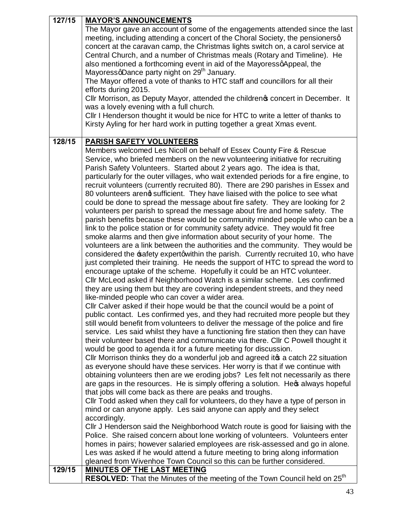| 127/15 | <b>MAYOR'S ANNOUNCEMENTS</b>                                                                                                                                                                                                                                                                                                                                                                                                                                                                                                                                                                                                                                                                                                                                                                                                                                                                                                                                                                                                                                                                                                                                                                                                                                                                                                                                                                                                                                                                                                                                                                                                                                                                                                                                                                                                                                                                                                                                                                                                                                                                                                                                                                                                                                                                                                                                                                                                                                                                                                                       |
|--------|----------------------------------------------------------------------------------------------------------------------------------------------------------------------------------------------------------------------------------------------------------------------------------------------------------------------------------------------------------------------------------------------------------------------------------------------------------------------------------------------------------------------------------------------------------------------------------------------------------------------------------------------------------------------------------------------------------------------------------------------------------------------------------------------------------------------------------------------------------------------------------------------------------------------------------------------------------------------------------------------------------------------------------------------------------------------------------------------------------------------------------------------------------------------------------------------------------------------------------------------------------------------------------------------------------------------------------------------------------------------------------------------------------------------------------------------------------------------------------------------------------------------------------------------------------------------------------------------------------------------------------------------------------------------------------------------------------------------------------------------------------------------------------------------------------------------------------------------------------------------------------------------------------------------------------------------------------------------------------------------------------------------------------------------------------------------------------------------------------------------------------------------------------------------------------------------------------------------------------------------------------------------------------------------------------------------------------------------------------------------------------------------------------------------------------------------------------------------------------------------------------------------------------------------------|
|        | The Mayor gave an account of some of the engagements attended since the last<br>meeting, including attending a concert of the Choral Society, the pensionersq<br>concert at the caravan camp, the Christmas lights switch on, a carol service at<br>Central Church, and a number of Christmas meals (Rotary and Timeline). He<br>also mentioned a forthcoming event in aid of the MayoressqAppeal, the<br>MayoressqDance party night on 29 <sup>th</sup> January.                                                                                                                                                                                                                                                                                                                                                                                                                                                                                                                                                                                                                                                                                                                                                                                                                                                                                                                                                                                                                                                                                                                                                                                                                                                                                                                                                                                                                                                                                                                                                                                                                                                                                                                                                                                                                                                                                                                                                                                                                                                                                  |
|        | The Mayor offered a vote of thanks to HTC staff and councillors for all their<br>efforts during 2015.                                                                                                                                                                                                                                                                                                                                                                                                                                                                                                                                                                                                                                                                                                                                                                                                                                                                                                                                                                                                                                                                                                                                                                                                                                                                                                                                                                                                                                                                                                                                                                                                                                                                                                                                                                                                                                                                                                                                                                                                                                                                                                                                                                                                                                                                                                                                                                                                                                              |
|        | Cllr Morrison, as Deputy Mayor, attended the childreno concert in December. It<br>was a lovely evening with a full church.                                                                                                                                                                                                                                                                                                                                                                                                                                                                                                                                                                                                                                                                                                                                                                                                                                                                                                                                                                                                                                                                                                                                                                                                                                                                                                                                                                                                                                                                                                                                                                                                                                                                                                                                                                                                                                                                                                                                                                                                                                                                                                                                                                                                                                                                                                                                                                                                                         |
|        | Cllr I Henderson thought it would be nice for HTC to write a letter of thanks to<br>Kirsty Ayling for her hard work in putting together a great Xmas event.                                                                                                                                                                                                                                                                                                                                                                                                                                                                                                                                                                                                                                                                                                                                                                                                                                                                                                                                                                                                                                                                                                                                                                                                                                                                                                                                                                                                                                                                                                                                                                                                                                                                                                                                                                                                                                                                                                                                                                                                                                                                                                                                                                                                                                                                                                                                                                                        |
| 128/15 | <b>PARISH SAFETY VOLUNTEERS</b>                                                                                                                                                                                                                                                                                                                                                                                                                                                                                                                                                                                                                                                                                                                                                                                                                                                                                                                                                                                                                                                                                                                                                                                                                                                                                                                                                                                                                                                                                                                                                                                                                                                                                                                                                                                                                                                                                                                                                                                                                                                                                                                                                                                                                                                                                                                                                                                                                                                                                                                    |
|        | Members welcomed Les Nicoll on behalf of Essex County Fire & Rescue<br>Service, who briefed members on the new volunteering initiative for recruiting<br>Parish Safety Volunteers. Started about 2 years ago. The idea is that,<br>particularly for the outer villages, who wait extended periods for a fire engine, to<br>recruit volunteers (currently recruited 80). There are 290 parishes in Essex and<br>80 volunteers arend sufficient. They have liaised with the police to see what<br>could be done to spread the message about fire safety. They are looking for 2<br>volunteers per parish to spread the message about fire and home safety. The<br>parish benefits because these would be community minded people who can be a<br>link to the police station or for community safety advice. They would fit free<br>smoke alarms and then give information about security of your home. The<br>volunteers are a link between the authorities and the community. They would be<br>considered the safety expertqwithin the parish. Currently recruited 10, who have<br>just completed their training. He needs the support of HTC to spread the word to<br>encourage uptake of the scheme. Hopefully it could be an HTC volunteer.<br>Cllr McLeod asked if Neighborhood Watch is a similar scheme. Les confirmed<br>they are using them but they are covering independent streets, and they need<br>like-minded people who can cover a wider area.<br>Cllr Calver asked if their hope would be that the council would be a point of<br>public contact. Les confirmed yes, and they had recruited more people but they<br>still would benefit from volunteers to deliver the message of the police and fire<br>service. Les said whilst they have a functioning fire station then they can have<br>their volunteer based there and communicate via there. Cllr C Powell thought it<br>would be good to agenda it for a future meeting for discussion.<br>Cllr Morrison thinks they do a wonderful job and agreed ito a catch 22 situation<br>as everyone should have these services. Her worry is that if we continue with<br>obtaining volunteers then are we eroding jobs? Les felt not necessarily as there<br>are gaps in the resources. He is simply offering a solution. Hecs always hopeful<br>that jobs will come back as there are peaks and troughs.<br>Cllr Todd asked when they call for volunteers, do they have a type of person in<br>mind or can anyone apply. Les said anyone can apply and they select<br>accordingly. |
|        | Cllr J Henderson said the Neighborhood Watch route is good for liaising with the<br>Police. She raised concern about lone working of volunteers. Volunteers enter                                                                                                                                                                                                                                                                                                                                                                                                                                                                                                                                                                                                                                                                                                                                                                                                                                                                                                                                                                                                                                                                                                                                                                                                                                                                                                                                                                                                                                                                                                                                                                                                                                                                                                                                                                                                                                                                                                                                                                                                                                                                                                                                                                                                                                                                                                                                                                                  |
|        | homes in pairs; however salaried employees are risk-assessed and go in alone.                                                                                                                                                                                                                                                                                                                                                                                                                                                                                                                                                                                                                                                                                                                                                                                                                                                                                                                                                                                                                                                                                                                                                                                                                                                                                                                                                                                                                                                                                                                                                                                                                                                                                                                                                                                                                                                                                                                                                                                                                                                                                                                                                                                                                                                                                                                                                                                                                                                                      |
|        | Les was asked if he would attend a future meeting to bring along information<br>gleaned from Wivenhoe Town Council so this can be further considered.                                                                                                                                                                                                                                                                                                                                                                                                                                                                                                                                                                                                                                                                                                                                                                                                                                                                                                                                                                                                                                                                                                                                                                                                                                                                                                                                                                                                                                                                                                                                                                                                                                                                                                                                                                                                                                                                                                                                                                                                                                                                                                                                                                                                                                                                                                                                                                                              |
| 129/15 | <b>MINUTES OF THE LAST MEETING</b>                                                                                                                                                                                                                                                                                                                                                                                                                                                                                                                                                                                                                                                                                                                                                                                                                                                                                                                                                                                                                                                                                                                                                                                                                                                                                                                                                                                                                                                                                                                                                                                                                                                                                                                                                                                                                                                                                                                                                                                                                                                                                                                                                                                                                                                                                                                                                                                                                                                                                                                 |
|        | <b>RESOLVED:</b> That the Minutes of the meeting of the Town Council held on 25 <sup>th</sup>                                                                                                                                                                                                                                                                                                                                                                                                                                                                                                                                                                                                                                                                                                                                                                                                                                                                                                                                                                                                                                                                                                                                                                                                                                                                                                                                                                                                                                                                                                                                                                                                                                                                                                                                                                                                                                                                                                                                                                                                                                                                                                                                                                                                                                                                                                                                                                                                                                                      |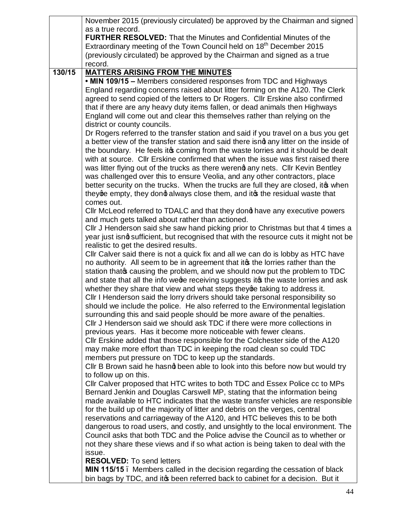|        | November 2015 (previously circulated) be approved by the Chairman and signed          |
|--------|---------------------------------------------------------------------------------------|
|        | as a true record.                                                                     |
|        | <b>FURTHER RESOLVED:</b> That the Minutes and Confidential Minutes of the             |
|        | Extraordinary meeting of the Town Council held on 18 <sup>th</sup> December 2015      |
|        | (previously circulated) be approved by the Chairman and signed as a true              |
|        | record.                                                                               |
| 130/15 | <b>MATTERS ARISING FROM THE MINUTES</b>                                               |
|        | • MIN 109/15 - Members considered responses from TDC and Highways                     |
|        | England regarding concerns raised about litter forming on the A120. The Clerk         |
|        | agreed to send copied of the letters to Dr Rogers. Cllr Erskine also confirmed        |
|        | that if there are any heavy duty items fallen, or dead animals then Highways          |
|        | England will come out and clear this themselves rather than relying on the            |
|        | district or county councils.                                                          |
|        | Dr Rogers referred to the transfer station and said if you travel on a bus you get    |
|        | a better view of the transfer station and said there isno any litter on the inside of |
|        | the boundary. He feels it pcoming from the waste lorries and it should be dealt       |
|        | with at source. Cllr Erskine confirmed that when the issue was first raised there     |
|        | was litter flying out of the trucks as there werend any nets. Cllr Kevin Bentley      |
|        | was challenged over this to ensure Veolia, and any other contractors, place           |
|        | better security on the trucks. When the trucks are full they are closed, it when      |
|        | theyge empty, they dong always close them, and it the residual waste that             |
|        | comes out.                                                                            |
|        | Cllr McLeod referred to TDALC and that they dong have any executive powers            |
|        | and much gets talked about rather than actioned.                                      |
|        | CIIr J Henderson said she saw hand picking prior to Christmas but that 4 times a      |
|        | year just isno sufficient, but recognised that with the resource cuts it might not be |
|        | realistic to get the desired results.                                                 |
|        | Cllr Calver said there is not a quick fix and all we can do is lobby as HTC have      |
|        | no authority. All seem to be in agreement that its the lorries rather than the        |
|        | station that of causing the problem, and we should now put the problem to TDC         |
|        | and state that all the info wege receiving suggests it the waste lorries and ask      |
|        | whether they share that view and what steps they ge taking to address it.             |
|        | Cllr I Henderson said the lorry drivers should take personal responsibility so        |
|        | should we include the police. He also referred to the Environmental legislation       |
|        | surrounding this and said people should be more aware of the penalties.               |
|        | Cllr J Henderson said we should ask TDC if there were more collections in             |
|        | previous years. Has it become more noticeable with fewer cleans.                      |
|        | Cllr Erskine added that those responsible for the Colchester side of the A120         |
|        | may make more effort than TDC in keeping the road clean so could TDC                  |
|        | members put pressure on TDC to keep up the standards.                                 |
|        | Cllr B Brown said he hasnq been able to look into this before now but would try       |
|        | to follow up on this.                                                                 |
|        | CIIr Calver proposed that HTC writes to both TDC and Essex Police cc to MPs           |
|        | Bernard Jenkin and Douglas Carswell MP, stating that the information being            |
|        | made available to HTC indicates that the waste transfer vehicles are responsible      |
|        | for the build up of the majority of litter and debris on the verges, central          |
|        | reservations and carriageway of the A120, and HTC believes this to be both            |
|        | dangerous to road users, and costly, and unsightly to the local environment. The      |
|        | Council asks that both TDC and the Police advise the Council as to whether or         |
|        | not they share these views and if so what action is being taken to deal with the      |
|        | issue.                                                                                |
|        | <b>RESOLVED:</b> To send letters                                                      |
|        | MIN 115/15. Members called in the decision regarding the cessation of black           |
|        | bin bags by TDC, and itcs been referred back to cabinet for a decision. But it        |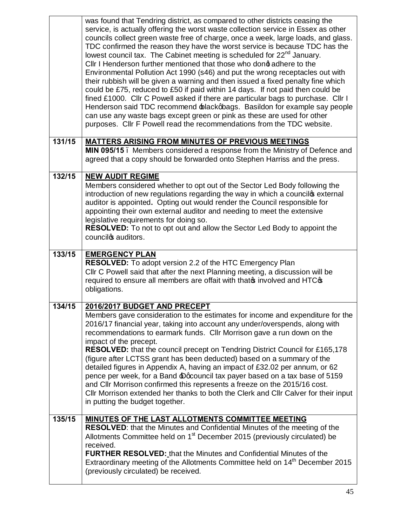|        | was found that Tendring district, as compared to other districts ceasing the<br>service, is actually offering the worst waste collection service in Essex as other<br>councils collect green waste free of charge, once a week, large loads, and glass.<br>TDC confirmed the reason they have the worst service is because TDC has the<br>lowest council tax. The Cabinet meeting is scheduled for 22 <sup>nd</sup> January.<br>Cllr I Henderson further mentioned that those who dond adhere to the<br>Environmental Pollution Act 1990 (s46) and put the wrong receptacles out with<br>their rubbish will be given a warning and then issued a fixed penalty fine which<br>could be £75, reduced to £50 if paid within 14 days. If not paid then could be<br>fined £1000. Cllr C Powell asked if there are particular bags to purchase. Cllr I<br>Henderson said TDC recommend blackgbags. Basildon for example say people<br>can use any waste bags except green or pink as these are used for other<br>purposes. Cllr F Powell read the recommendations from the TDC website. |
|--------|-----------------------------------------------------------------------------------------------------------------------------------------------------------------------------------------------------------------------------------------------------------------------------------------------------------------------------------------------------------------------------------------------------------------------------------------------------------------------------------------------------------------------------------------------------------------------------------------------------------------------------------------------------------------------------------------------------------------------------------------------------------------------------------------------------------------------------------------------------------------------------------------------------------------------------------------------------------------------------------------------------------------------------------------------------------------------------------|
| 131/15 | <b>MATTERS ARISING FROM MINUTES OF PREVIOUS MEETINGS</b><br>MIN 095/15. Members considered a response from the Ministry of Defence and<br>agreed that a copy should be forwarded onto Stephen Harriss and the press.                                                                                                                                                                                                                                                                                                                                                                                                                                                                                                                                                                                                                                                                                                                                                                                                                                                              |
| 132/15 | <b>NEW AUDIT REGIME</b><br>Members considered whether to opt out of the Sector Led Body following the<br>introduction of new regulations regarding the way in which a councilos external<br>auditor is appointed. Opting out would render the Council responsible for<br>appointing their own external auditor and needing to meet the extensive<br>legislative requirements for doing so.<br><b>RESOLVED:</b> To not to opt out and allow the Sector Led Body to appoint the<br>councilos auditors.                                                                                                                                                                                                                                                                                                                                                                                                                                                                                                                                                                              |
| 133/15 | <b>EMERGENCY PLAN</b><br>RESOLVED: To adopt version 2.2 of the HTC Emergency Plan<br>Cllr C Powell said that after the next Planning meeting, a discussion will be<br>required to ensure all members are offait with that involved and HTC of<br>obligations.                                                                                                                                                                                                                                                                                                                                                                                                                                                                                                                                                                                                                                                                                                                                                                                                                     |
| 134/15 | 2016/2017 BUDGET AND PRECEPT<br>Members gave consideration to the estimates for income and expenditure for the<br>2016/17 financial year, taking into account any under/overspends, along with<br>recommendations to earmark funds. Cllr Morrison gave a run down on the<br>impact of the precept.<br><b>RESOLVED:</b> that the council precept on Tendring District Council for £165,178<br>(figure after LCTSS grant has been deducted) based on a summary of the<br>detailed figures in Appendix A, having an impact of £32.02 per annum, or 62<br>pence per week, for a Band Docouncil tax payer based on a tax base of 5159<br>and Cllr Morrison confirmed this represents a freeze on the 2015/16 cost.<br>Cllr Morrison extended her thanks to both the Clerk and Cllr Calver for their input<br>in putting the budget together.                                                                                                                                                                                                                                           |
| 135/15 | <b>MINUTES OF THE LAST ALLOTMENTS COMMITTEE MEETING</b><br><b>RESOLVED:</b> that the Minutes and Confidential Minutes of the meeting of the<br>Allotments Committee held on 1 <sup>st</sup> December 2015 (previously circulated) be<br>received.<br><b>FURTHER RESOLVED:</b> that the Minutes and Confidential Minutes of the<br>Extraordinary meeting of the Allotments Committee held on 14 <sup>th</sup> December 2015<br>(previously circulated) be received.                                                                                                                                                                                                                                                                                                                                                                                                                                                                                                                                                                                                                |